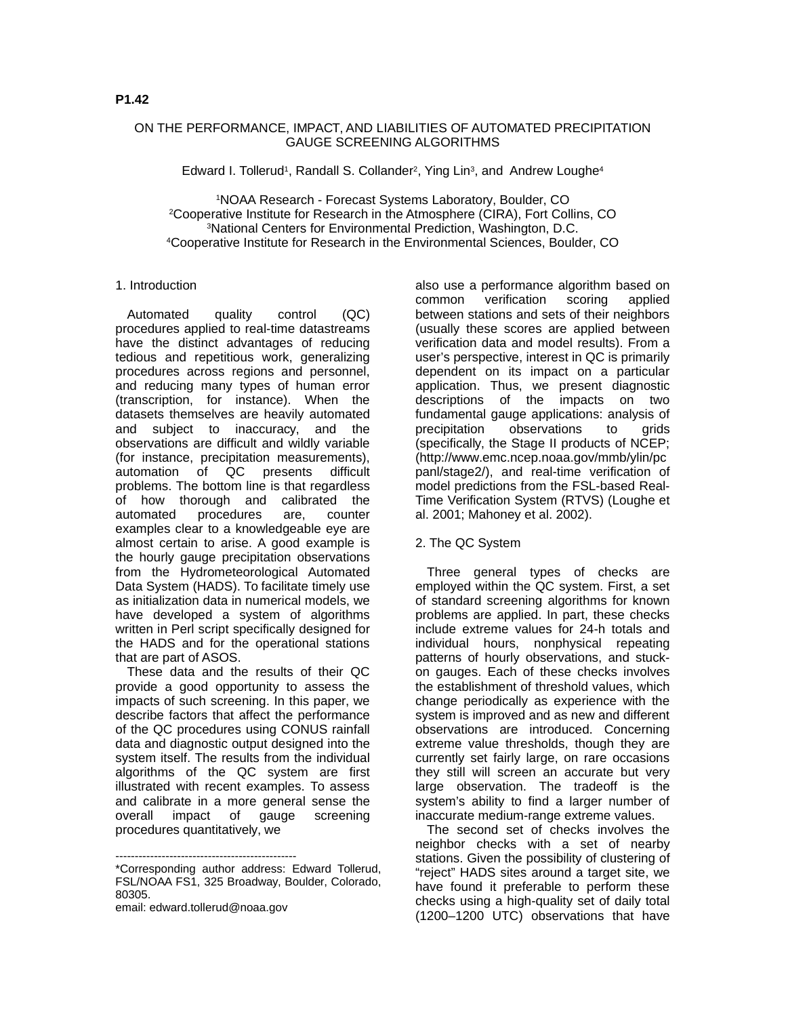## ON THE PERFORMANCE, IMPACT, AND LIABILITIES OF AUTOMATED PRECIPITATION GAUGE SCREENING ALGORITHMS

Edward I. Tollerud<sup>1</sup>, Randall S. Collander<sup>2</sup>, Ying Lin<sup>3</sup>, and Andrew Loughe<sup>4</sup>

NOAA Research - Forecast Systems Laboratory, Boulder, CO Cooperative Institute for Research in the Atmosphere (CIRA), Fort Collins, CO National Centers for Environmental Prediction, Washington, D.C. Cooperative Institute for Research in the Environmental Sciences, Boulder, CO

#### 1. Introduction

Automated quality control (QC) procedures applied to real-time datastreams have the distinct advantages of reducing tedious and repetitious work, generalizing procedures across regions and personnel, and reducing many types of human error (transcription, for instance). When the datasets themselves are heavily automated and subject to inaccuracy, and the observations are difficult and wildly variable (for instance, precipitation measurements), automation of QC presents difficult problems. The bottom line is that regardless of how thorough and calibrated the<br>automated procedures are, counter procedures are, counter examples clear to a knowledgeable eye are almost certain to arise. A good example is the hourly gauge precipitation observations from the Hydrometeorological Automated Data System (HADS). To facilitate timely use as initialization data in numerical models, we have developed a system of algorithms written in Perl script specifically designed for the HADS and for the operational stations that are part of ASOS.

These data and the results of their QC provide a good opportunity to assess the impacts of such screening. In this paper, we describe factors that affect the performance of the QC procedures using CONUS rainfall data and diagnostic output designed into the system itself. The results from the individual algorithms of the QC system are first illustrated with recent examples. To assess and calibrate in a more general sense the overall impact of gauge screening procedures quantitatively, we

-----------------------------------------------

email: edward.tollerud@noaa.gov

also use a performance algorithm based on common verification scoring applied between stations and sets of their neighbors (usually these scores are applied between verification data and model results). From a user's perspective, interest in QC is primarily dependent on its impact on a particular application. Thus, we present diagnostic descriptions of the impacts on two fundamental gauge applications: analysis of precipitation observations to grids (specifically, the Stage II products of NCEP; (http://www.emc.ncep.noaa.gov/mmb/ylin/pc panl/stage2/), and real-time verification of model predictions from the FSL-based Real-Time Verification System (RTVS) (Loughe et al. 2001; Mahoney et al. 2002).

#### 2. The QC System

Three general types of checks are employed within the QC system. First, a set of standard screening algorithms for known problems are applied. In part, these checks include extreme values for 24-h totals and individual hours, nonphysical repeating patterns of hourly observations, and stuckon gauges. Each of these checks involves the establishment of threshold values, which change periodically as experience with the system is improved and as new and different observations are introduced. Concerning extreme value thresholds, though they are currently set fairly large, on rare occasions they still will screen an accurate but very large observation. The tradeoff is the system's ability to find a larger number of inaccurate medium-range extreme values.

The second set of checks involves the neighbor checks with a set of nearby stations. Given the possibility of clustering of "reject" HADS sites around a target site, we have found it preferable to perform these checks using a high-quality set of daily total (1200–1200 UTC) observations that have

<sup>\*</sup>Corresponding author address: Edward Tollerud, FSL/NOAA FS1, 325 Broadway, Boulder, Colorado, 80305.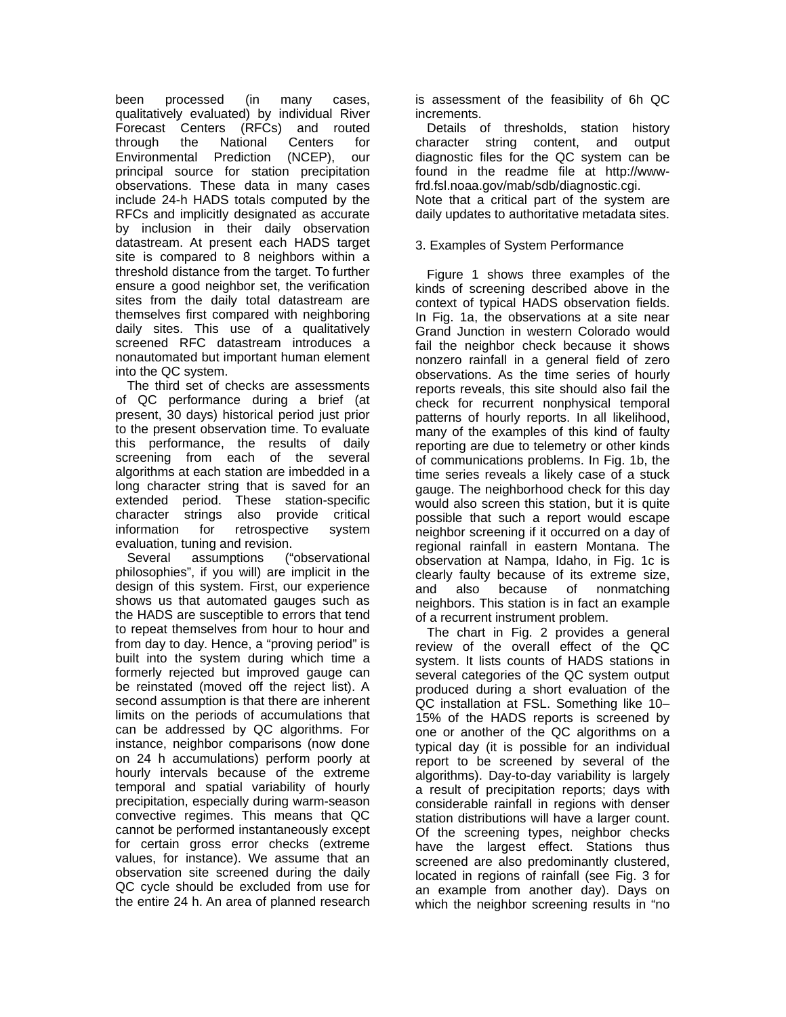been processed (in many cases, qualitatively evaluated) by individual River Forecast Centers (RFCs) and routed through the National Centers for Environmental Prediction (NCEP), our principal source for station precipitation observations. These data in many cases include 24-h HADS totals computed by the RFCs and implicitly designated as accurate by inclusion in their daily observation datastream. At present each HADS target site is compared to 8 neighbors within a threshold distance from the target. To further ensure a good neighbor set, the verification sites from the daily total datastream are themselves first compared with neighboring daily sites. This use of a qualitatively screened RFC datastream introduces a nonautomated but important human element into the QC system.

The third set of checks are assessments of QC performance during a brief (at present, 30 days) historical period just prior to the present observation time. To evaluate this performance, the results of daily screening from each of the several algorithms at each station are imbedded in a long character string that is saved for an extended period. These station-specific character strings also provide critical information for retrospective system evaluation, tuning and revision.

Several assumptions ("observational philosophies", if you will) are implicit in the design of this system. First, our experience shows us that automated gauges such as the HADS are susceptible to errors that tend to repeat themselves from hour to hour and from day to day. Hence, a "proving period" is built into the system during which time a formerly rejected but improved gauge can be reinstated (moved off the reject list). A second assumption is that there are inherent limits on the periods of accumulations that can be addressed by QC algorithms. For instance, neighbor comparisons (now done on 24 h accumulations) perform poorly at hourly intervals because of the extreme temporal and spatial variability of hourly precipitation, especially during warm-season convective regimes. This means that QC cannot be performed instantaneously except for certain gross error checks (extreme values, for instance). We assume that an observation site screened during the daily QC cycle should be excluded from use for the entire 24 h. An area of planned research

is assessment of the feasibility of 6h QC increments.

Details of thresholds, station history character string content, and output diagnostic files for the QC system can be found in the readme file at http://wwwfrd.fsl.noaa.gov/mab/sdb/diagnostic.cgi.

Note that a critical part of the system are daily updates to authoritative metadata sites.

# 3. Examples of System Performance

Figure 1 shows three examples of the kinds of screening described above in the context of typical HADS observation fields. In Fig. 1a, the observations at a site near Grand Junction in western Colorado would fail the neighbor check because it shows nonzero rainfall in a general field of zero observations. As the time series of hourly reports reveals, this site should also fail the check for recurrent nonphysical temporal patterns of hourly reports. In all likelihood, many of the examples of this kind of faulty reporting are due to telemetry or other kinds of communications problems. In Fig. 1b, the time series reveals a likely case of a stuck gauge. The neighborhood check for this day would also screen this station, but it is quite possible that such a report would escape neighbor screening if it occurred on a day of regional rainfall in eastern Montana. The observation at Nampa, Idaho, in Fig. 1c is clearly faulty because of its extreme size, and also because of nonmatching neighbors. This station is in fact an example of a recurrent instrument problem.

The chart in Fig. 2 provides a general review of the overall effect of the QC system. It lists counts of HADS stations in several categories of the QC system output produced during a short evaluation of the QC installation at FSL. Something like 10– 15% of the HADS reports is screened by one or another of the QC algorithms on a typical day (it is possible for an individual report to be screened by several of the algorithms). Day-to-day variability is largely a result of precipitation reports; days with considerable rainfall in regions with denser station distributions will have a larger count. Of the screening types, neighbor checks have the largest effect. Stations thus screened are also predominantly clustered, located in regions of rainfall (see Fig. 3 for an example from another day). Days on which the neighbor screening results in "no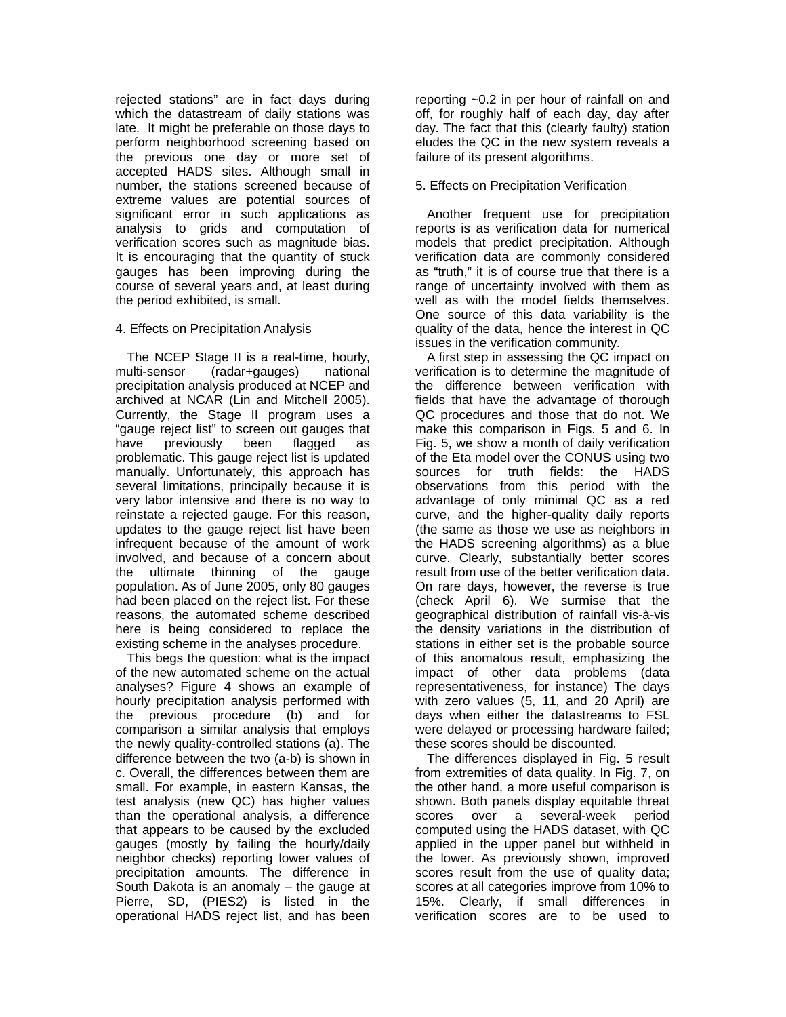rejected stations" are in fact days during which the datastream of daily stations was late. It might be preferable on those days to perform neighborhood screening based on the previous one day or more set of accepted HADS sites. Although small in number, the stations screened because of extreme values are potential sources of significant error in such applications as analysis to grids and computation of verification scores such as magnitude bias. It is encouraging that the quantity of stuck gauges has been improving during the course of several years and, at least during the period exhibited, is small.

## 4. Effects on Precipitation Analysis

The NCEP Stage II is a real-time, hourly, multi-sensor (radar+gauges) national precipitation analysis produced at NCEP and archived at NCAR (Lin and Mitchell 2005). Currently, the Stage II program uses a "gauge reject list" to screen out gauges that have previously been flagged as problematic. This gauge reject list is updated manually. Unfortunately, this approach has several limitations, principally because it is very labor intensive and there is no way to reinstate a rejected gauge. For this reason, updates to the gauge reject list have been infrequent because of the amount of work involved, and because of a concern about the ultimate thinning of the gauge population. As of June 2005, only 80 gauges had been placed on the reject list. For these reasons, the automated scheme described here is being considered to replace the existing scheme in the analyses procedure.

This begs the question: what is the impact of the new automated scheme on the actual analyses? Figure 4 shows an example of hourly precipitation analysis performed with the previous procedure (b) and for comparison a similar analysis that employs the newly quality-controlled stations (a). The difference between the two (a-b) is shown in c. Overall, the differences between them are small. For example, in eastern Kansas, the test analysis (new QC) has higher values than the operational analysis, a difference that appears to be caused by the excluded gauges (mostly by failing the hourly/daily neighbor checks) reporting lower values of precipitation amounts. The difference in South Dakota is an anomaly – the gauge at Pierre, SD, (PIES2) is listed in the operational HADS reject list, and has been

reporting ~0.2 in per hour of rainfall on and off, for roughly half of each day, day after day. The fact that this (clearly faulty) station eludes the QC in the new system reveals a failure of its present algorithms.

# 5. Effects on Precipitation Verification

Another frequent use for precipitation reports is as verification data for numerical models that predict precipitation. Although verification data are commonly considered as "truth," it is of course true that there is a range of uncertainty involved with them as well as with the model fields themselves. One source of this data variability is the quality of the data, hence the interest in QC issues in the verification community.

A first step in assessing the QC impact on verification is to determine the magnitude of the difference between verification with fields that have the advantage of thorough QC procedures and those that do not. We make this comparison in Figs. 5 and 6. In Fig. 5, we show a month of daily verification of the Eta model over the CONUS using two sources for truth fields: the HADS observations from this period with the advantage of only minimal QC as a red curve, and the higher-quality daily reports (the same as those we use as neighbors in the HADS screening algorithms) as a blue curve. Clearly, substantially better scores result from use of the better verification data. On rare days, however, the reverse is true (check April 6). We surmise that the geographical distribution of rainfall vis-à-vis the density variations in the distribution of stations in either set is the probable source of this anomalous result, emphasizing the impact of other data problems (data representativeness, for instance) The days with zero values (5, 11, and 20 April) are days when either the datastreams to FSL were delayed or processing hardware failed; these scores should be discounted.

The differences displayed in Fig. 5 result from extremities of data quality. In Fig. 7, on the other hand, a more useful comparison is shown. Both panels display equitable threat scores over a several-week period computed using the HADS dataset, with QC applied in the upper panel but withheld in the lower. As previously shown, improved scores result from the use of quality data; scores at all categories improve from 10% to 15%. Clearly, if small differences in verification scores are to be used to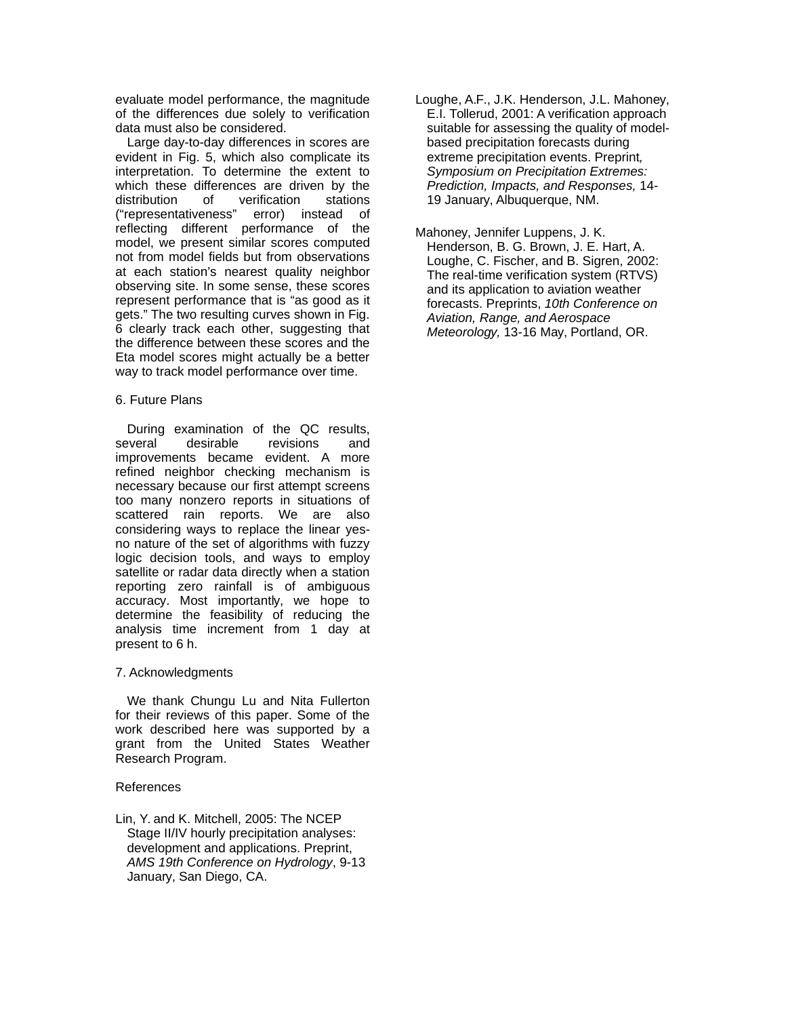evaluate model performance, the magnitude of the differences due solely to verification data must also be considered.

Large day-to-day differences in scores are evident in Fig. 5, which also complicate its interpretation. To determine the extent to which these differences are driven by the distribution of verification stations ("representativeness" error) instead of reflecting different performance of the model, we present similar scores computed not from model fields but from observations at each station's nearest quality neighbor observing site. In some sense, these scores represent performance that is "as good as it gets." The two resulting curves shown in Fig. 6 clearly track each other, suggesting that the difference between these scores and the Eta model scores might actually be a better way to track model performance over time.

## 6. Future Plans

During examination of the QC results, several desirable revisions and improvements became evident. A more refined neighbor checking mechanism is necessary because our first attempt screens too many nonzero reports in situations of scattered rain reports. We are also considering ways to replace the linear yesno nature of the set of algorithms with fuzzy logic decision tools, and ways to employ satellite or radar data directly when a station reporting zero rainfall is of ambiguous accuracy. Most importantly, we hope to determine the feasibility of reducing the analysis time increment from 1 day at present to 6 h.

#### 7. Acknowledgments

We thank Chungu Lu and Nita Fullerton for their reviews of this paper. Some of the work described here was supported by a grant from the United States Weather Research Program.

## References

Lin, Y. and K. Mitchell, 2005: The NCEP Stage II/IV hourly precipitation analyses: development and applications. Preprint, AMS 19th Conference on Hydrology, 9-13 January, San Diego, CA.

- Loughe, A.F., J.K. Henderson, J.L. Mahoney, E.I. Tollerud, 2001: A verification approach suitable for assessing the quality of modelbased precipitation forecasts during extreme precipitation events. Preprint, Symposium on Precipitation Extremes: Prediction, Impacts, and Responses, 14- 19 January, Albuquerque, NM.
- Mahoney, Jennifer Luppens, J. K. Henderson, B. G. Brown, J. E. Hart, A. Loughe, C. Fischer, and B. Sigren, 2002: The real-time verification system (RTVS) and its application to aviation weather forecasts. Preprints, 10th Conference on Aviation, Range, and Aerospace Meteorology, 13-16 May, Portland, OR.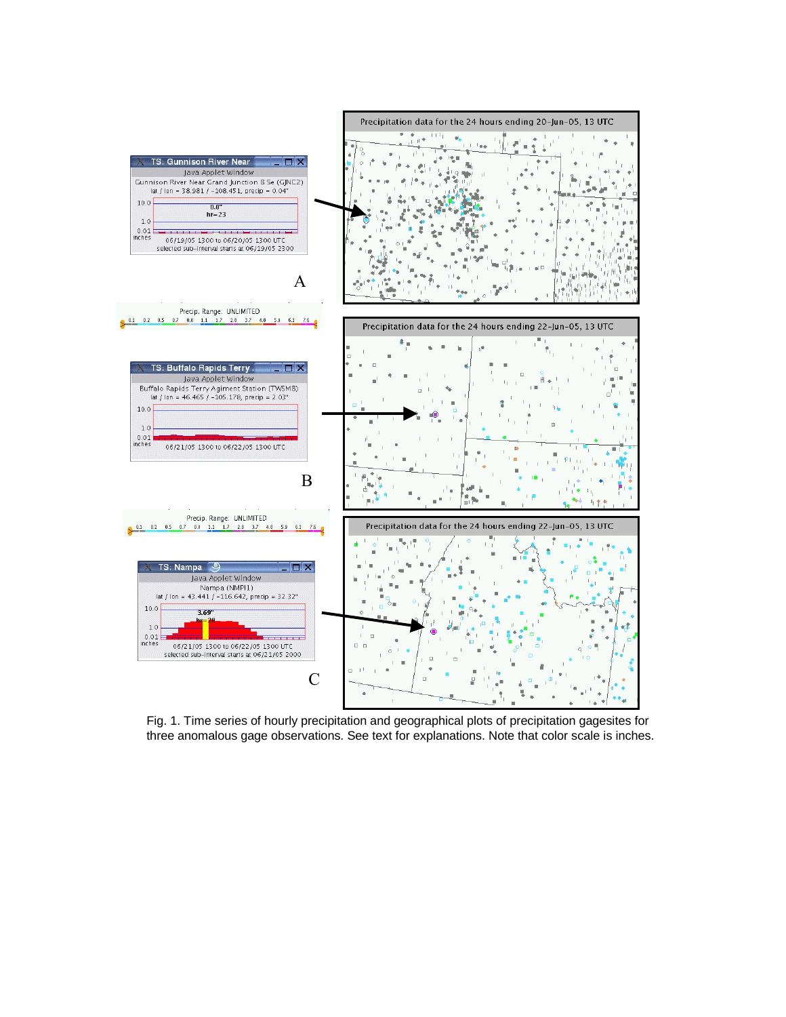

Fig. 1. Time series of hourly precipitation and geographical plots of precipitation gagesites for three anomalous gage observations. See text for explanations. Note that color scale is inches.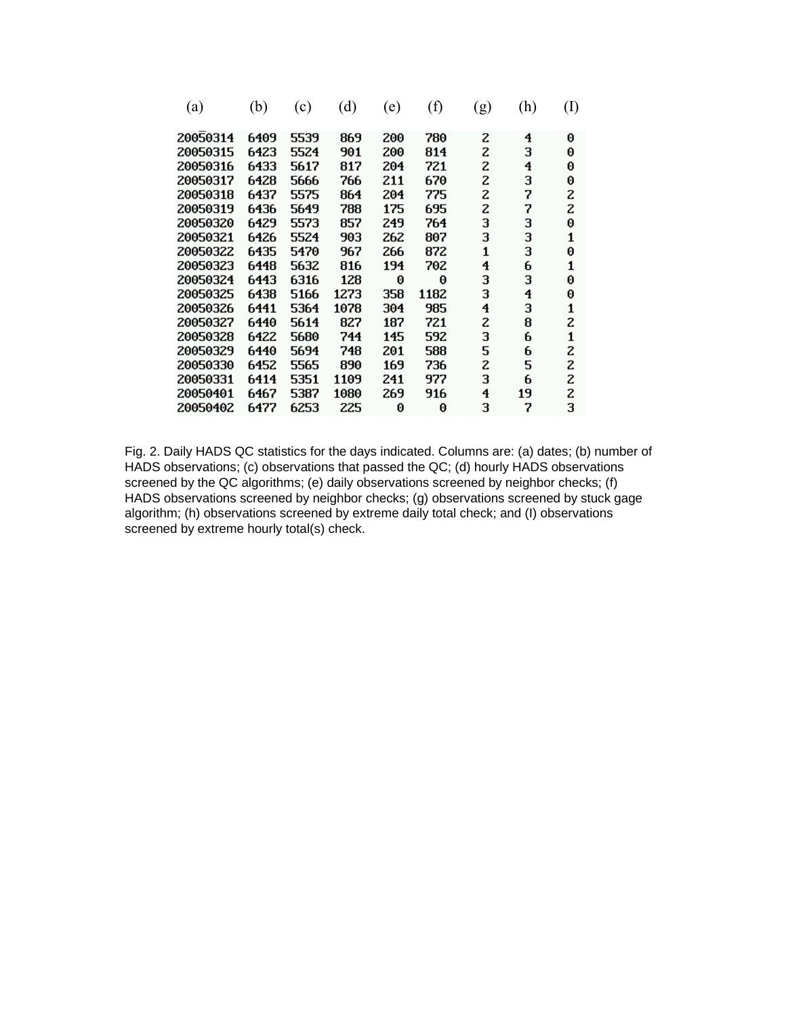| (a)      | (b)  | (c)  | (d)  | (e) | (f)  | (g) | (h) | $\rm(I)$ |
|----------|------|------|------|-----|------|-----|-----|----------|
| 20050314 | 6409 | 5539 | 869  | 200 | 780  | 2   | 4   | 0        |
| 20050315 | 6423 | 5524 | 901  | 200 | 814  | 2   | з   | 0        |
| 20050316 | 6433 | 5617 | 817  | 204 | 721  | 2   | 4   | 0        |
| 20050317 | 6428 | 5666 | 766  | 211 | 670  | 2   | з   | 0        |
| 20050318 | 6437 | 5575 | 864  | 204 | 775  | 2   | 7   | 2        |
| 20050319 | 6436 | 5649 | 788  | 175 | 695  | 2   | 7   | 2        |
| 20050320 | 6429 | 5573 | 857  | 249 | 764  | з   | 3   | 0        |
| 20050321 | 6426 | 5524 | 903  | 262 | 807  | 3   | 3   | 1        |
| 20050322 | 6435 | 5470 | 967  | 266 | 872  | 1   | 3   | 0        |
| 20050323 | 6448 | 5632 | 816  | 194 | 702  | 4   | 6   | 1        |
| 20050324 | 6443 | 6316 | 128  | 0   | 0    | з   | 3   | 0        |
| 20050325 | 6438 | 5166 | 1273 | 358 | 1182 | 3   | 4   | 0        |
| 20050326 | 6441 | 5364 | 1078 | 304 | 985  | 4   | 3   | 1        |
| 20050327 | 6440 | 5614 | 827  | 187 | 721  | 2   | 8   | z        |
| 20050328 | 6422 | 5680 | 744  | 145 | 592  | з   | 6   | 1        |
| 20050329 | 6440 | 5694 | 748  | 201 | 588  | 5   | 6   | z        |
| 20050330 | 6452 | 5565 | 890  | 169 | 736  | 2   | 5   | 2        |
| 20050331 | 6414 | 5351 | 1109 | 241 | 977  | 3   | 6   | 2        |
| 20050401 | 6467 | 5387 | 1080 | 269 | 916  | 4   | 19  | 2        |
| 20050402 | 6477 | 6253 | 225  | 0   | 0    | з   | 7   | 3        |

Fig. 2. Daily HADS QC statistics for the days indicated. Columns are: (a) dates; (b) number of HADS observations; (c) observations that passed the QC; (d) hourly HADS observations screened by the QC algorithms; (e) daily observations screened by neighbor checks; (f) HADS observations screened by neighbor checks; (g) observations screened by stuck gage algorithm; (h) observations screened by extreme daily total check; and (I) observations screened by extreme hourly total(s) check.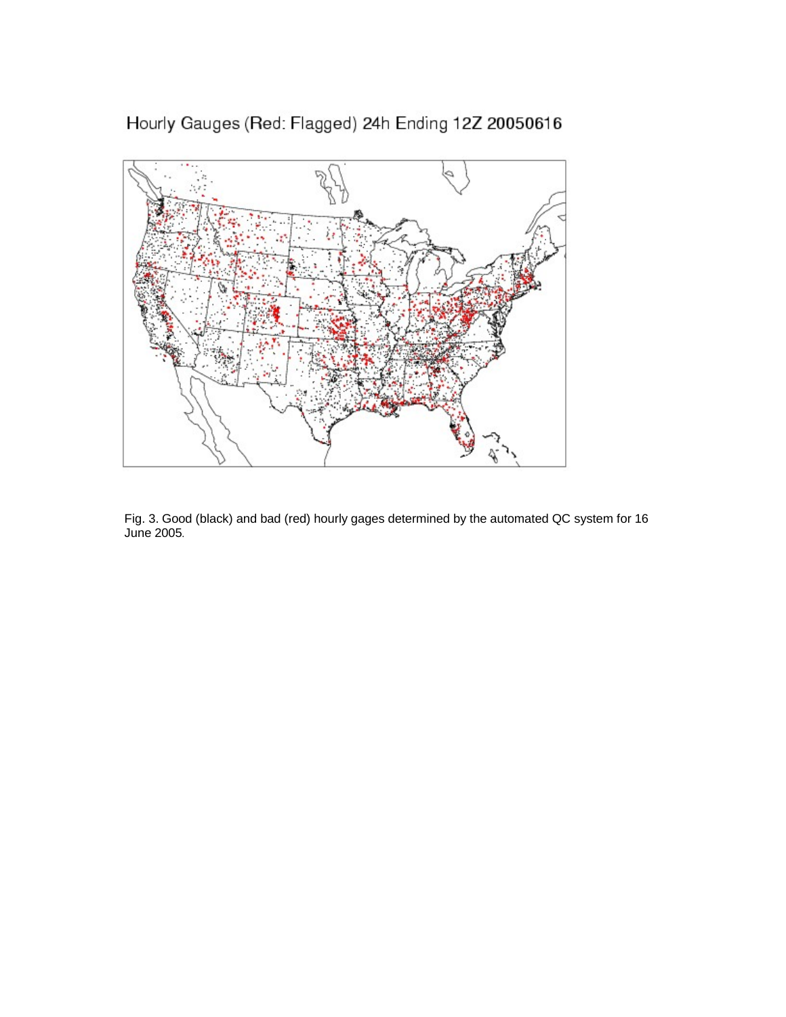Hourly Gauges (Red: Flagged) 24h Ending 12Z 20050616



Fig. 3. Good (black) and bad (red) hourly gages determined by the automated QC system for 16 J u n e 2 0 0 5*.*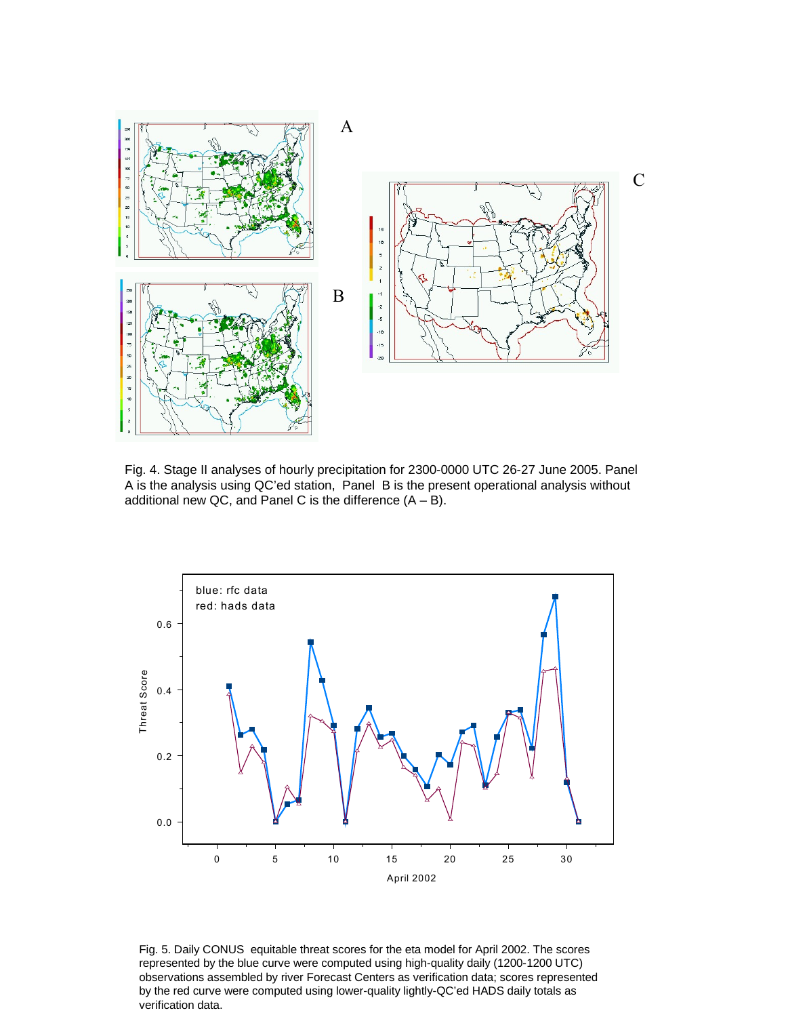

Fig. 4. Stage II analyses of hourly precipitation for 2300-0000 UTC 26-27 June 2005. Panel A is the analysis using QC'ed station, Panel B is the present operational analysis without additional new QC, and Panel C is the difference  $(A - B)$ .



Fig. 5. Daily CONUS equitable threat scores for the eta model for April 2002. The scores represented by the blue curve were computed using high-quality daily (1200-1200 UTC) observations assembled by river Forecast Centers as verification data; scores represented by the red curve were computed using lower-quality lightly-QC'ed HADS daily totals as verification data.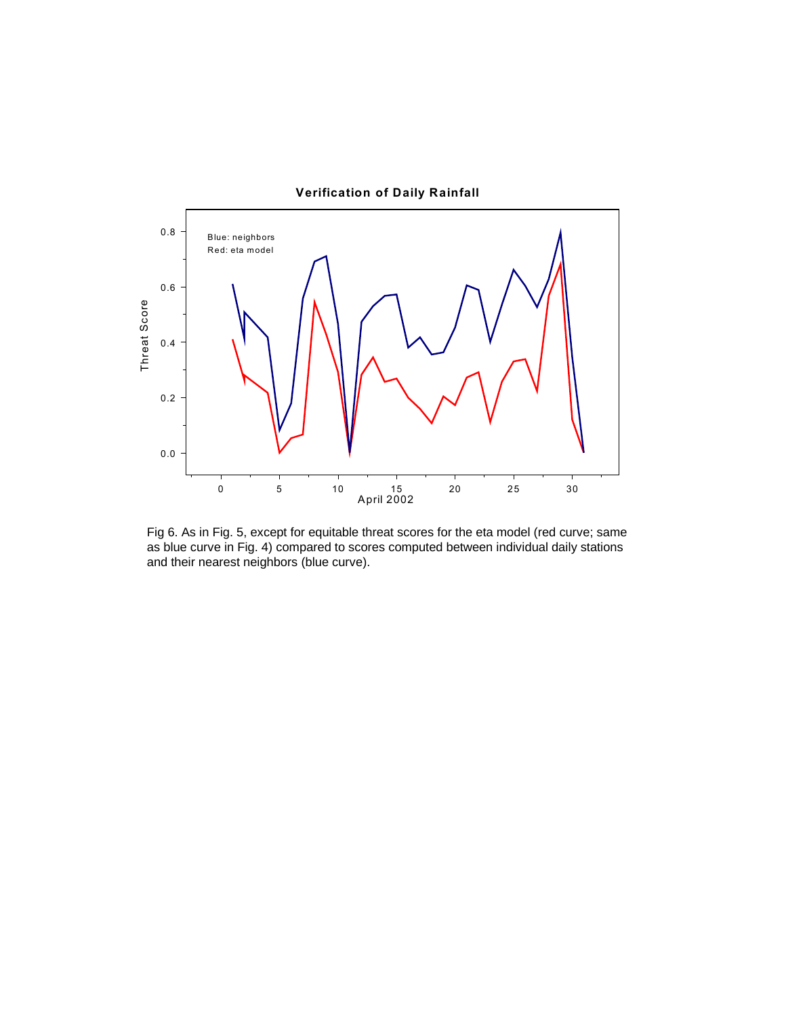

Fig 6. As in Fig. 5, except for equitable threat scores for the eta model (red curve; same as blue curve in Fig. 4) compared to scores computed between individual daily stations and their nearest neighbors (blue curve).